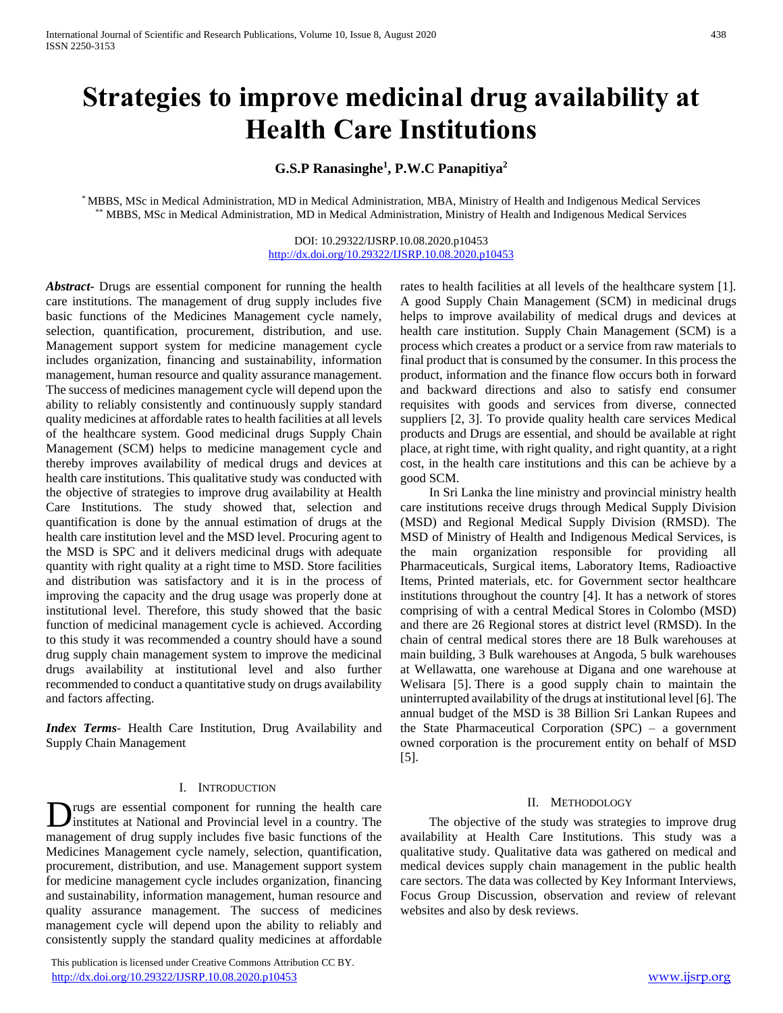# **Strategies to improve medicinal drug availability at Health Care Institutions**

# **G.S.P Ranasinghe<sup>1</sup> , P.W.C Panapitiya<sup>2</sup>**

\* MBBS, MSc in Medical Administration, MD in Medical Administration, MBA, Ministry of Health and Indigenous Medical Services \*\* MBBS, MSc in Medical Administration, MD in Medical Administration, Ministry of Health and Indigenous Medical Services

> DOI: 10.29322/IJSRP.10.08.2020.p10453 <http://dx.doi.org/10.29322/IJSRP.10.08.2020.p10453>

*Abstract***-** Drugs are essential component for running the health care institutions. The management of drug supply includes five basic functions of the Medicines Management cycle namely, selection, quantification, procurement, distribution, and use. Management support system for medicine management cycle includes organization, financing and sustainability, information management, human resource and quality assurance management. The success of medicines management cycle will depend upon the ability to reliably consistently and continuously supply standard quality medicines at affordable rates to health facilities at all levels of the healthcare system. Good medicinal drugs Supply Chain Management (SCM) helps to medicine management cycle and thereby improves availability of medical drugs and devices at health care institutions. This qualitative study was conducted with the objective of strategies to improve drug availability at Health Care Institutions. The study showed that, selection and quantification is done by the annual estimation of drugs at the health care institution level and the MSD level. Procuring agent to the MSD is SPC and it delivers medicinal drugs with adequate quantity with right quality at a right time to MSD. Store facilities and distribution was satisfactory and it is in the process of improving the capacity and the drug usage was properly done at institutional level. Therefore, this study showed that the basic function of medicinal management cycle is achieved. According to this study it was recommended a country should have a sound drug supply chain management system to improve the medicinal drugs availability at institutional level and also further recommended to conduct a quantitative study on drugs availability and factors affecting.

*Index Terms*- Health Care Institution, Drug Availability and Supply Chain Management

#### I. INTRODUCTION

rugs are essential component for running the health care Drugs are essential component for running the health care in a country. The management of drug supply includes five basic functions of the Medicines Management cycle namely, selection, quantification, procurement, distribution, and use. Management support system for medicine management cycle includes organization, financing and sustainability, information management, human resource and quality assurance management. The success of medicines management cycle will depend upon the ability to reliably and consistently supply the standard quality medicines at affordable

 This publication is licensed under Creative Commons Attribution CC BY. <http://dx.doi.org/10.29322/IJSRP.10.08.2020.p10453> [www.ijsrp.org](http://ijsrp.org/)

rates to health facilities at all levels of the healthcare system [1]. A good Supply Chain Management (SCM) in medicinal drugs helps to improve availability of medical drugs and devices at health care institution. Supply Chain Management (SCM) is a process which creates a product or a service from raw materials to final product that is consumed by the consumer. In this process the product, information and the finance flow occurs both in forward and backward directions and also to satisfy end consumer requisites with goods and services from diverse, connected suppliers [2, 3]. To provide quality health care services Medical products and Drugs are essential, and should be available at right place, at right time, with right quality, and right quantity, at a right cost, in the health care institutions and this can be achieve by a good SCM.

 In Sri Lanka the line ministry and provincial ministry health care institutions receive drugs through Medical Supply Division (MSD) and Regional Medical Supply Division (RMSD). The MSD of Ministry of Health and Indigenous Medical Services, is the main organization responsible for providing all Pharmaceuticals, Surgical items, Laboratory Items, Radioactive Items, Printed materials, etc. for Government sector healthcare institutions throughout the country [4]. It has a network of stores comprising of with a central Medical Stores in Colombo (MSD) and there are 26 Regional stores at district level (RMSD). In the chain of central medical stores there are 18 Bulk warehouses at main building, 3 Bulk warehouses at Angoda, 5 bulk warehouses at Wellawatta, one warehouse at Digana and one warehouse at Welisara [5]. There is a good supply chain to maintain the uninterrupted availability of the drugs at institutional level [6]. The annual budget of the MSD is 38 Billion Sri Lankan Rupees and the State Pharmaceutical Corporation (SPC) – a government owned corporation is the procurement entity on behalf of MSD [5].

### II. METHODOLOGY

 The objective of the study was strategies to improve drug availability at Health Care Institutions. This study was a qualitative study. Qualitative data was gathered on medical and medical devices supply chain management in the public health care sectors. The data was collected by Key Informant Interviews, Focus Group Discussion, observation and review of relevant websites and also by desk reviews.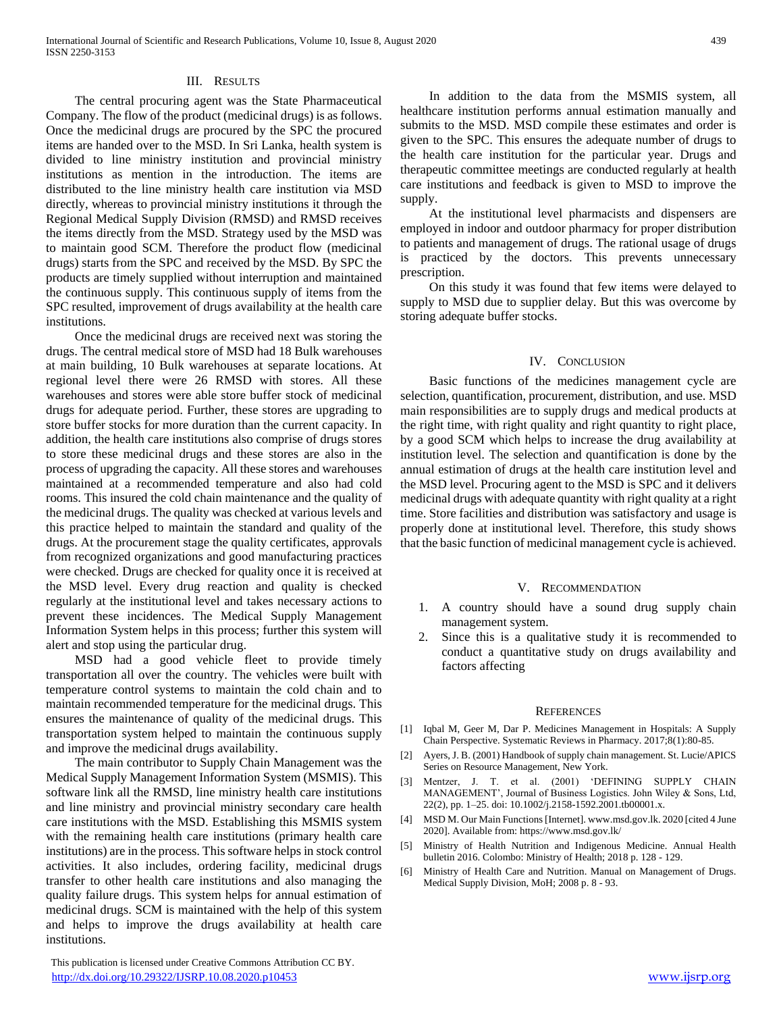### III. RESULTS

 The central procuring agent was the State Pharmaceutical Company. The flow of the product (medicinal drugs) is as follows. Once the medicinal drugs are procured by the SPC the procured items are handed over to the MSD. In Sri Lanka, health system is divided to line ministry institution and provincial ministry institutions as mention in the introduction. The items are distributed to the line ministry health care institution via MSD directly, whereas to provincial ministry institutions it through the Regional Medical Supply Division (RMSD) and RMSD receives the items directly from the MSD. Strategy used by the MSD was to maintain good SCM. Therefore the product flow (medicinal drugs) starts from the SPC and received by the MSD. By SPC the products are timely supplied without interruption and maintained the continuous supply. This continuous supply of items from the SPC resulted, improvement of drugs availability at the health care institutions.

 Once the medicinal drugs are received next was storing the drugs. The central medical store of MSD had 18 Bulk warehouses at main building, 10 Bulk warehouses at separate locations. At regional level there were 26 RMSD with stores. All these warehouses and stores were able store buffer stock of medicinal drugs for adequate period. Further, these stores are upgrading to store buffer stocks for more duration than the current capacity. In addition, the health care institutions also comprise of drugs stores to store these medicinal drugs and these stores are also in the process of upgrading the capacity. All these stores and warehouses maintained at a recommended temperature and also had cold rooms. This insured the cold chain maintenance and the quality of the medicinal drugs. The quality was checked at various levels and this practice helped to maintain the standard and quality of the drugs. At the procurement stage the quality certificates, approvals from recognized organizations and good manufacturing practices were checked. Drugs are checked for quality once it is received at the MSD level. Every drug reaction and quality is checked regularly at the institutional level and takes necessary actions to prevent these incidences. The Medical Supply Management Information System helps in this process; further this system will alert and stop using the particular drug.

 MSD had a good vehicle fleet to provide timely transportation all over the country. The vehicles were built with temperature control systems to maintain the cold chain and to maintain recommended temperature for the medicinal drugs. This ensures the maintenance of quality of the medicinal drugs. This transportation system helped to maintain the continuous supply and improve the medicinal drugs availability.

 The main contributor to Supply Chain Management was the Medical Supply Management Information System (MSMIS). This software link all the RMSD, line ministry health care institutions and line ministry and provincial ministry secondary care health care institutions with the MSD. Establishing this MSMIS system with the remaining health care institutions (primary health care institutions) are in the process. This software helps in stock control activities. It also includes, ordering facility, medicinal drugs transfer to other health care institutions and also managing the quality failure drugs. This system helps for annual estimation of medicinal drugs. SCM is maintained with the help of this system and helps to improve the drugs availability at health care institutions.

 This publication is licensed under Creative Commons Attribution CC BY. <http://dx.doi.org/10.29322/IJSRP.10.08.2020.p10453> [www.ijsrp.org](http://ijsrp.org/)

 In addition to the data from the MSMIS system, all healthcare institution performs annual estimation manually and submits to the MSD. MSD compile these estimates and order is given to the SPC. This ensures the adequate number of drugs to the health care institution for the particular year. Drugs and therapeutic committee meetings are conducted regularly at health care institutions and feedback is given to MSD to improve the supply.

 At the institutional level pharmacists and dispensers are employed in indoor and outdoor pharmacy for proper distribution to patients and management of drugs. The rational usage of drugs is practiced by the doctors. This prevents unnecessary prescription.

 On this study it was found that few items were delayed to supply to MSD due to supplier delay. But this was overcome by storing adequate buffer stocks.

#### IV. CONCLUSION

 Basic functions of the medicines management cycle are selection, quantification, procurement, distribution, and use. MSD main responsibilities are to supply drugs and medical products at the right time, with right quality and right quantity to right place, by a good SCM which helps to increase the drug availability at institution level. The selection and quantification is done by the annual estimation of drugs at the health care institution level and the MSD level. Procuring agent to the MSD is SPC and it delivers medicinal drugs with adequate quantity with right quality at a right time. Store facilities and distribution was satisfactory and usage is properly done at institutional level. Therefore, this study shows that the basic function of medicinal management cycle is achieved.

#### V. RECOMMENDATION

- 1. A country should have a sound drug supply chain management system.
- 2. Since this is a qualitative study it is recommended to conduct a quantitative study on drugs availability and factors affecting

#### **REFERENCES**

- [1] Iqbal M, Geer M, Dar P. Medicines Management in Hospitals: A Supply Chain Perspective. Systematic Reviews in Pharmacy. 2017;8(1):80-85.
- [2] Ayers, J. B. (2001) Handbook of supply chain management. St. Lucie/APICS Series on Resource Management, New York.
- [3] Mentzer, J. T. et al. (2001) 'DEFINING SUPPLY CHAIN MANAGEMENT', Journal of Business Logistics. John Wiley & Sons, Ltd, 22(2), pp. 1–25. doi: 10.1002/j.2158-1592.2001.tb00001.x.
- [4] MSD M. Our Main Functions [Internet]. www.msd.gov.lk. 2020 [cited 4 June 2020]. Available from: https://www.msd.gov.lk/
- [5] Ministry of Health Nutrition and Indigenous Medicine. Annual Health bulletin 2016. Colombo: Ministry of Health; 2018 p. 128 - 129.
- [6] Ministry of Health Care and Nutrition. Manual on Management of Drugs. Medical Supply Division, MoH; 2008 p. 8 - 93.